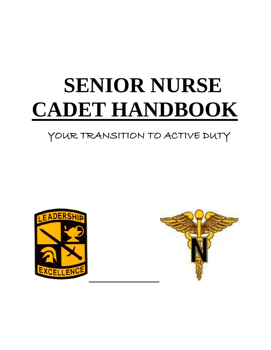# **SENIOR NURSE CADET HANDBOOK**

## YOUR TRANSITION TO ACTIVE DUTY



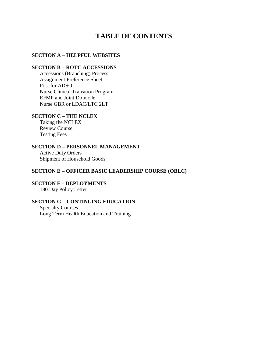## **TABLE OF CONTENTS**

#### **SECTION A – HELPFUL WEBSITES**

#### **SECTION B – ROTC ACCESSIONS**

Accessions (Branching) Process Assignment Preference Sheet Post for ADSO Nurse Clinical Transition Program EFMP and Joint Domicile Nurse GBR or LDAC/LTC 2LT

#### **SECTION C – THE NCLEX**

Taking the NCLEX Review Course Testing Fees

#### **SECTION D – PERSONNEL MANAGEMENT**

Active Duty Orders Shipment of Household Goods

#### **SECTION E – OFFICER BASIC LEADERSHIP COURSE (OBLC)**

#### **SECTION F – DEPLOYMENTS**

180 Day Policy Letter

#### **SECTION G – CONTINUING EDUCATION**

Specialty Courses Long Term Health Education and Training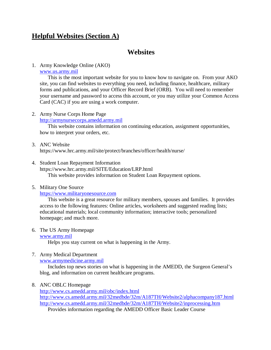## **Helpful Websites (Section A)**

## **Websites**

#### 1. Army Knowledge Online (AKO)

#### [www.us.army.mil](http://www.us.army.mil/)

This is the most important website for you to know how to navigate on. From your AKO site, you can find websites to everything you need, including finance, healthcare, military forms and publications, and your Officer Record Brief (ORB). You will need to remember your username and password to access this account, or you may utilize your Common Access Card (CAC) if you are using a work computer.

## 2. Army Nurse Corps Home Page

[http://armynursecorps.amedd.army.mil](http://armynursecorps.amedd.army.mil/)

This website contains information on continuing education, assignment opportunities, how to interpret your orders, etc.

3. ANC Website

https://www.hrc.army.mil/site/protect/branches/officer/health/nurse/

4. Student Loan Repayment Information https://www.hrc.army.mil/SITE/Education/LRP.html This website provides information on Student Loan Repayment options.

#### 5. Military One Source

[https://www.militaryonesource.com](https://www.militaryonesource.com/)

This website is a great resource for military members, spouses and families. It provides access to the following features: Online articles, worksheets and suggested reading lists; educational materials; local community information; interactive tools; personalized homepage; and much more.

#### 6. The US Army Homepage

[www.army.mil](http://www.army.mil/)

Helps you stay current on what is happening in the Army.

7. Army Medical Department

[www.armymedicine.army.mil](http://www.armymedicine.army.mil/)

Includes top news stories on what is happening in the AMEDD, the Surgeon General's blog, and information on current healthcare programs.

#### 8. ANC OBLC Homepage

<http://www.cs.amedd.army.mil/obc/index.html>

<http://www.cs.amedd.army.mil/32medbde/32m/A187TH/Website2/alphacompany187.html> <http://www.cs.amedd.army.mil/32medbde/32m/A187TH/Website2/inprocessing.htm>

Provides information regarding the AMEDD Officer Basic Leader Course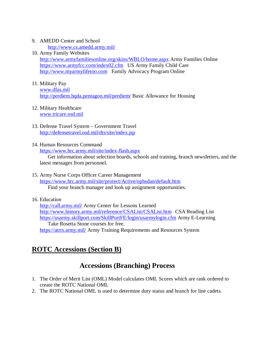### 9. AMEDD Center and School

<http://www.cs.amedd.army.mil/>

## 10. Army Family Websites

<http://www.armyfamiliesonline.org/skins/WBLO/home.aspx> Army Families Online <https://www.armyfcc.com/index02.cfm> US Army Family Child Care [http://www.myarmylifetoo.com](http://www.myarmylifetoo.com/) Family Advocacy Program Online

#### 11. Military Pay

[www.dfas.mil](http://www.dfas.mil/) <http://perdiem.hqda.pentagon.mil/perdiem/> Basic Allowance for Housing

#### 12. Military Healthcare [www.tricare.osd.mil](http://www.tricare.osd.mil/)

- 13. Defense Travel System Government Travel <http://defensetravel.osd.mil/dts/site/index.jsp>
- 14. Human Resources Command

<https://www.hrc.army.mil/site/index-flash.aspx>

Get information about selection boards, schools and training, branch newsletters, and the latest messages from personnel.

15. Army Nurse Corps Officer Career Management

<https://www.hrc.army.mil/site/protect/Active/ophsdan/default.htm> Find your branch manager and look up assignment opportunities.

## 16. Education

<http://call.army.mil/> Army Center for Lessons Learned <http://www.history.army.mil/reference/CSAList/CSAList.htm> CSA Reading List <https://usarmy.skillport.com/SkillPortFE/login/usarmylogin.cfm> Army E-Learning Take Rosetta Stone courses for free. <https://atrrs.army.mil/> Army Training Requirements and Resources System

## **ROTC Accessions (Section B)**

## **Accessions (Branching) Process**

- 1. The Order of Merit List (OML) Model calculates OML Scores which are rank ordered to create the ROTC National OML
- 2. The ROTC National OML is used to determine duty status and branch for line cadets.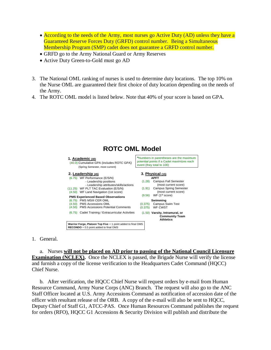- According to the needs of the Army, most nurses go Active Duty (AD) unless they have a Guaranteed Reserve Forces Duty (GRFD) control number. Being a Simultaneous Membership Program (SMP) cadet does not guarantee a GRFD control number.
- GRFD go to the Army National Guard or Army Reserves
- Active Duty Green-to-Gold must go AD
- 3. The National OML ranking of nurses is used to determine duty locations. The top 10% on the Nurse OML are guaranteed their first choice of duty location depending on the needs of the Army.
- 4. The ROTC OML model is listed below. Note that 40% of your score is based on GPA.



1. General.

a. Nurses **will not be placed on AD prior to passing of the National Council Licensure Examination (NCLEX).** Once the NCLEX is passed, the Brigade Nurse will verify the license and furnish a copy of the license verification to the Headquarters Cadet Command (HQCC) Chief Nurse.

b. After verification, the HQCC Chief Nurse will request orders by e-mail from Human Resource Command, Army Nurse Corps (ANC) Branch. The request will also go to the ANC Staff Officer located at U.S. Army Accessions Command as notification of accession date of the officer with resultant release of the ORB. A copy of the e-mail will also be sent to HQCC, Deputy Chief of Staff G1, ATCC-PAS. Once Human Resources Command publishes the request for orders (RFO), HQCC G1 Accessions & Security Division will publish and distribute the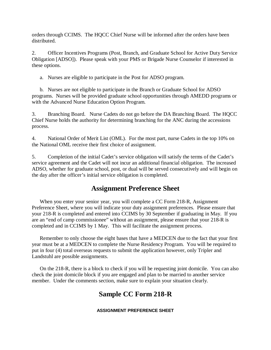orders through CCIMS. The HQCC Chief Nurse will be informed after the orders have been distributed.

2. Officer Incentives Programs (Post, Branch, and Graduate School for Active Duty Service Obligation [ADSO]). Please speak with your PMS or Brigade Nurse Counselor if interested in these options.

a. Nurses are eligible to participate in the Post for ADSO program.

b. Nurses are not eligible to participate in the Branch or Graduate School for ADSO programs. Nurses will be provided graduate school opportunities through AMEDD programs or with the Advanced Nurse Education Option Program.

3. Branching Board. Nurse Cadets do not go before the DA Branching Board. The HQCC Chief Nurse holds the authority for determining branching for the ANC during the accessions process.

4. National Order of Merit List (OML). For the most part, nurse Cadets in the top 10% on the National OML receive their first choice of assignment.

5. Completion of the initial Cadet's service obligation will satisfy the terms of the Cadet's service agreement and the Cadet will not incur an additional financial obligation. The increased ADSO, whether for graduate school, post, or dual will be served consecutively and will begin on the day after the officer's initial service obligation is completed.

## **Assignment Preference Sheet**

When you enter your senior year, you will complete a CC Form 218-R, Assignment Preference Sheet, where you will indicate your duty assignment preferences. Please ensure that your 218-R is completed and entered into CCIMS by 30 September if graduating in May. If you are an "end of camp commissionee" without an assignment, please ensure that your 218-R is completed and in CCIMS by 1 May. This will facilitate the assignment process.

Remember to only choose the eight bases that have a MEDCEN due to the fact that your first year must be at a MEDCEN to complete the Nurse Residency Program. You will be required to put in four (4) total overseas requests to submit the application however, only Tripler and Landstuhl are possible assignments.

On the 218-R, there is a block to check if you will be requesting joint domicile. You can also check the joint domicile block if you are engaged and plan to be married to another service member. Under the comments section, make sure to explain your situation clearly.

## **Sample CC Form 218-R**

**ASSIGNMENT PREFERENCE SHEET**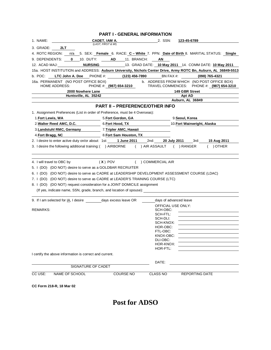|                                                                                                                                                                                                                                                                                                                                                                                                  | <b>PART I - GENERAL INFORMATION</b>                                                   |                                                                                                                                               |                             |                         |  |  |
|--------------------------------------------------------------------------------------------------------------------------------------------------------------------------------------------------------------------------------------------------------------------------------------------------------------------------------------------------------------------------------------------------|---------------------------------------------------------------------------------------|-----------------------------------------------------------------------------------------------------------------------------------------------|-----------------------------|-------------------------|--|--|
| 1. NAME:                                                                                                                                                                                                                                                                                                                                                                                         | CADET, IAM A.                                                                         | 2. SSN:                                                                                                                                       | 123-45-6789                 |                         |  |  |
| 3. GRADE:<br>2LT                                                                                                                                                                                                                                                                                                                                                                                 | (LAST, FIRST & MI)                                                                    |                                                                                                                                               |                             |                         |  |  |
| 4. ROTC REGION:                                                                                                                                                                                                                                                                                                                                                                                  | n/a 5. SEX: Female 6. RACE: C - White 7. PPN: Date of Birth 8. MARITAL STATUS: Single |                                                                                                                                               |                             |                         |  |  |
| 9. DEPENDENTS:<br>$\bf{0}$<br>10. DUTY:                                                                                                                                                                                                                                                                                                                                                          | AD.<br>11. BRANCH:                                                                    | ΑN                                                                                                                                            |                             |                         |  |  |
| <b>NURSING</b><br>12. ACAD MAJ:                                                                                                                                                                                                                                                                                                                                                                  |                                                                                       | 13. GRAD DATE: 10 May 2011 14. COMM DATE: 10 May 2011                                                                                         |                             |                         |  |  |
| 15a. HOST INSTITUTION and ADDRESS: Auburn University, Nichols Center Drive, Army ROTC Bn, Auburn, AL 36849-5513                                                                                                                                                                                                                                                                                  |                                                                                       |                                                                                                                                               |                             |                         |  |  |
| b. POC: LTC John A. Doe PHONE #: (123) 456-7890                                                                                                                                                                                                                                                                                                                                                  |                                                                                       | BN FAX #:                                                                                                                                     |                             | (098) 765-4321          |  |  |
| 16a. PERMANENT (NO POST OFFICE BOX)<br><b>HOME ADDRESS:</b>                                                                                                                                                                                                                                                                                                                                      | PHONE #: (987) 654-3210                                                               | b. ADDRESS FROM WHICH (NO POST OFFICE BOX)<br>TRAVEL COMMENCES:                                                                               |                             | PHONE #: (987) 654-3210 |  |  |
| 2000 Nowhere Lane<br>Huntsville, AL 35242                                                                                                                                                                                                                                                                                                                                                        |                                                                                       | 149 GBR Street<br>Apt AD                                                                                                                      |                             |                         |  |  |
|                                                                                                                                                                                                                                                                                                                                                                                                  |                                                                                       |                                                                                                                                               | Auburn, AL 36849            |                         |  |  |
|                                                                                                                                                                                                                                                                                                                                                                                                  | <b>PART II - PREFERENCE/OTHER INFO</b>                                                |                                                                                                                                               |                             |                         |  |  |
| 1. Assignment Preferences (List in order of Preference, must be 4 Overseas):                                                                                                                                                                                                                                                                                                                     |                                                                                       |                                                                                                                                               |                             |                         |  |  |
| 1.Fort Lewis, WA                                                                                                                                                                                                                                                                                                                                                                                 | <b>1999 - S.Fort Gordon, GA</b>                                                       |                                                                                                                                               | 9. Seoul, Korea             |                         |  |  |
| 2. Walter Reed AMC, D.C.                                                                                                                                                                                                                                                                                                                                                                         | 6. Fort Hood, TX                                                                      |                                                                                                                                               | 10. Fort Wainwright, Alaska |                         |  |  |
| 3. Landstuhl RMC, Germany                                                                                                                                                                                                                                                                                                                                                                        | 7. Tripler AMC, Hawaii                                                                |                                                                                                                                               |                             |                         |  |  |
| 4. Fort Bragg, NC                                                                                                                                                                                                                                                                                                                                                                                | 8. Fort Sam Houston, TX                                                               |                                                                                                                                               |                             |                         |  |  |
| 2. I desire to enter active duty on/or about: 1st:                                                                                                                                                                                                                                                                                                                                               | 1 June 2011                                                                           | 2nd:<br>20 July 2011                                                                                                                          | 3rd:                        | 15 Aug 2011             |  |  |
| 3. I desire the following additional training: () AIRBORNE                                                                                                                                                                                                                                                                                                                                       |                                                                                       | ( ) AIR ASSAULT ( ) RANGER                                                                                                                    |                             | $( )$ OTHER             |  |  |
| 5. I (DO) (DO NOT) desire to serve as a GOLDBAR RECRUITER<br>6. I (DO) (DO NOT) desire to serve as CADRE at LEADERSHIP DEVELOPMENT ASSESSMENT COURSE (LDAC)<br>7. I (DO) (DO NOT) desire to serve as CADRE at LEADER'S TRAINING COURSE (LTC)<br>8. I (DO) (DO NOT) request consideration for a JOINT DOMICILE assignment<br>(If yes, indicate name, SSN, grade, branch, and location of spouse): |                                                                                       |                                                                                                                                               |                             |                         |  |  |
| 9. If I am selected for IA, I desire days excess leave OR                                                                                                                                                                                                                                                                                                                                        |                                                                                       | days of advanced leave                                                                                                                        |                             |                         |  |  |
| REMARKS:                                                                                                                                                                                                                                                                                                                                                                                         |                                                                                       | OFFICIAL USE ONLY:<br>SCH-OBC:<br>SCH-FTL:<br>SCH-DLI:<br>SCH-KNOX:<br>HOR-OBC:<br>FTL-OBC:<br>KNOX-OBC:<br>DLI-OBC:<br>HOR-KNOX:<br>HOR-FTL: |                             |                         |  |  |
| I certify the above information is correct and current.                                                                                                                                                                                                                                                                                                                                          |                                                                                       |                                                                                                                                               |                             |                         |  |  |
|                                                                                                                                                                                                                                                                                                                                                                                                  |                                                                                       | DATE:                                                                                                                                         |                             |                         |  |  |
| SIGNATURE OF CADET                                                                                                                                                                                                                                                                                                                                                                               |                                                                                       |                                                                                                                                               |                             |                         |  |  |
| CC USE:<br>NAME OF SCHOOL<br>CC Form 218-R, 18 Mar 02                                                                                                                                                                                                                                                                                                                                            | <b>COURSE NO</b>                                                                      | <b>CLASS NO</b>                                                                                                                               | <b>REPORTING DATE</b>       |                         |  |  |
|                                                                                                                                                                                                                                                                                                                                                                                                  |                                                                                       |                                                                                                                                               |                             |                         |  |  |

## **Post for ADSO**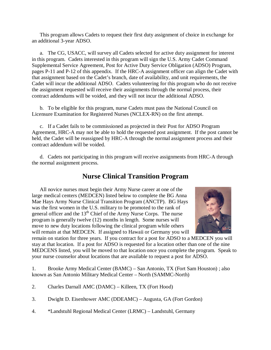This program allows Cadets to request their first duty assignment of choice in exchange for an additional 3-year ADSO.

a. The CG, USACC, will survey all Cadets selected for active duty assignment for interest in this program. Cadets interested in this program will sign the U.S. Army Cadet Command Supplemental Service Agreement, Post for Active Duty Service Obligation (ADSO) Program, pages P-11 and P-12 of this appendix. If the HRC-A assignment officer can align the Cadet with that assignment based on the Cadet's branch, date of availability, and unit requirements, the Cadet will incur the additional ADSO. Cadets volunteering for this program who do not receive the assignment requested will receive their assignments through the normal process, their contract addendums will be voided, and they will not incur the additional ADSO.

b. To be eligible for this program, nurse Cadets must pass the National Council on Licensure Examination for Registered Nurses (NCLEX-RN) on the first attempt.

c. If a Cadet fails to be commissioned as projected in their Post for ADSO Program Agreement, HRC-A may not be able to hold the requested post assignment. If the post cannot be held, the Cadet will be reassigned by HRC-A through the normal assignment process and their contract addendum will be voided.

d. Cadets not participating in this program will receive assignments from HRC-A through the normal assignment process.

## **Nurse Clinical Transition Program**

All novice nurses must begin their Army Nurse career at one of the large medical centers (MEDCEN) listed below to complete the BG Anna Mae Hays Army Nurse Clinical Transition Program (ANCTP). BG Hays was the first women in the U.S. military to be promoted to the rank of general officer and the 13<sup>th</sup> Chief of the Army Nurse Corps. The nurse program is generally twelve (12) months in length. Some nurses will move to new duty locations following the clinical program while others will remain at that MEDCEN. If assigned to Hawaii or Germany you will



remain on station for three years. If you contract for a post for ADSO to a MEDCEN you will stay at that location. If a post for ADSO is requested for a location other than one of the nine MEDCENS listed, you will be moved to that location once you complete the program. Speak to your nurse counselor about locations that are available to request a post for ADSO.

1. Brooke Army Medical Center (BAMC) – San Antonio, TX (Fort Sam Houston) ; also known as San Antonio Military Medical Center – North (SAMMC-North)

- 2. Charles Darnall AMC (DAMC) Killeen, TX (Fort Hood)
- 3. Dwight D. Eisenhower AMC (DDEAMC) Augusta, GA (Fort Gordon)
- 4. \*Landstuhl Regional Medical Center (LRMC) Landstuhl, Germany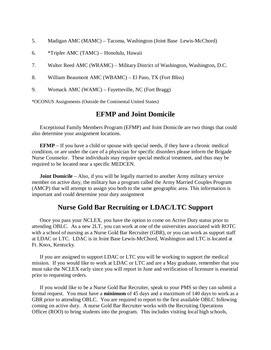- 5. Madigan AMC (MAMC) Tacoma, Washington (Joint Base Lewis-McChord)
- 6. \*Tripler AMC (TAMC) Honolulu, Hawaii
- 7. Walter Reed AMC (WRAMC) Military District of Washington, Washington, D.C.
- 8. William Beaumont AMC (WBAMC) El Paso, TX (Fort Bliss)
- 9. Womack AMC (WAMC) Fayetteville, NC (Fort Bragg)

\*OCONUS Assignments (Outside the Continental United States)

## **EFMP and Joint Domicile**

Exceptional Family Members Program (EFMP) and Joint Domicile are two things that could also determine your assignment locations.

**EFMP** – If you have a child or spouse with special needs, if they have a chronic medical condition, or are under the care of a physician for specific disorders please inform the Brigade Nurse Counselor. These individuals may require special medical treatment, and thus may be required to be located near a specific MEDCEN.

**Joint Domicile** – Also, if you will be legally married to another Army military service member on active duty, the military has a program called the Army Married Couples Program (AMCP) that will attempt to assign you both to the same geographic area. This information is important and could determine your duty assignment

## **Nurse Gold Bar Recruiting or LDAC/LTC Support**

Once you pass your NCLEX, you have the option to come on Active Duty status prior to attending OBLC. As a new 2LT, you can work at one of the universities associated with ROTC with a school of nursing as a Nurse Gold Bar Recruiter (GBR), or you can work as support staff at LDAC or LTC. LDAC is in Joint Base Lewis-McChord, Washington and LTC is located at Ft. Knox, Kentucky.

If you are assigned to support LDAC or LTC you will be working to support the medical mission. If you would like to work at LDAC or LTC and are a May graduate, remember that you must take the NCLEX early since you will report in June and verification of licensure is essential prior to requesting orders.

If you would like to be a Nurse Gold Bar Recruiter, speak to your PMS so they can submit a formal request. You must have a **minimum** of 45 days and a maximum of 140 days to work as a GBR prior to attending OBLC. You are required to report to the first available OBLC following coming on active duty. A nurse Gold Bar Recruiter works with the Recruiting Operations Officer (ROO) to bring students into the program. This includes visiting local high schools,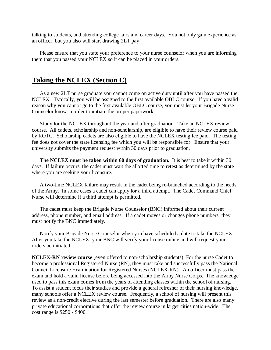talking to students, and attending college fairs and career days. You not only gain experience as an officer, but you also will start drawing 2LT pay!

Please ensure that you state your preference to your nurse counselor when you are informing them that you passed your NCLEX so it can be placed in your orders.

## **Taking the NCLEX (Section C)**

As a new 2LT nurse graduate you cannot come on active duty until after you have passed the NCLEX. Typically, you will be assigned to the first available OBLC course. If you have a valid reason why you cannot go to the first available OBLC course, you must let your Brigade Nurse Counselor know in order to initiate the proper paperwork.

Study for the NCLEX throughout the year and after graduation. Take an NCLEX review course. All cadets, scholarship and non-scholarship, are eligible to have their review course paid by ROTC. Scholarship cadets are also eligible to have the NCLEX testing fee paid. The testing fee does not cover the state licensing fee which you will be responsible for. Ensure that your university submits the payment request within 30 days prior to graduation.

**The NCLEX must be taken within 60 days of graduation.** It is best to take it within 30 days. If failure occurs, the cadet must wait the allotted time to retest as determined by the state where you are seeking your licensure.

A two-time NCLEX failure may result in the cadet being re-branched according to the needs of the Army. In some cases a cadet can apply for a third attempt. The Cadet Command Chief Nurse will determine if a third attempt is permitted.

The cadet must keep the Brigade Nurse Counselor (BNC) informed about their current address, phone number, and email address. If a cadet moves or changes phone numbers, they must notify the BNC immediately.

Notify your Brigade Nurse Counselor when you have scheduled a date to take the NCLEX. After you take the NCLEX, your BNC will verify your license online and will request your orders be initiated.

**NCLEX-RN review course** (even offered to non-scholarship students) For the nurse Cadet to become a professional Registered Nurse (RN), they must take and successfully pass the National Council Licensure Examination for Registered Nurses (NCLEX-RN). An officer must pass the exam and hold a valid license before being accessed into the Army Nurse Corps. The knowledge used to pass this exam comes from the years of attending classes within the school of nursing. To assist a student focus their studies and provide a general refresher of their nursing knowledge, many schools offer a NCLEX review course. Frequently, a school of nursing will present this review as a non-credit elective during the last semester before graduation. There are also many private educational corporations that offer the review course in larger cities nation-wide. The cost range is \$250 - \$400.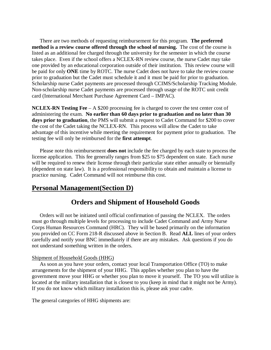There are two methods of requesting reimbursement for this program. **The preferred method is a review course offered through the school of nursing.** The cost of the course is listed as an additional fee charged through the university for the semester in which the course takes place. Even if the school offers a NCLEX-RN review course, the nurse Cadet may take one provided by an educational corporation outside of their institution. This review course will be paid for only **ONE** time by ROTC. The nurse Cadet does not have to take the review course prior to graduation but the Cadet must schedule it and it must be paid for prior to graduation. Scholarship nurse Cadet payments are processed through CCIMS/Scholarship Tracking Module. Non-scholarship nurse Cadet payments are processed through usage of the ROTC unit credit card (International Merchant Purchase Agreement Card – IMPAC).

**NCLEX-RN Testing Fee** – A \$200 processing fee is charged to cover the test center cost of administering the exam. **No earlier than 60 days prior to graduation and no later than 30 days prior to graduation**, the PMS will submit a request to Cadet Command for \$200 to cover the cost of the Cadet taking the NCLEX-RN. This process will allow the Cadet to take advantage of this incentive while meeting the requirement for payment prior to graduation. The testing fee will only be reimbursed for the **first attempt**.

Please note this reimbursement **does not** include the fee charged by each state to process the license application. This fee generally ranges from \$25 to \$75 dependent on state. Each nurse will be required to renew their license through their particular state either annually or biennially (dependent on state law). It is a professional responsibility to obtain and maintain a license to practice nursing. Cadet Command will not reimburse this cost.

## **Personal Management(Section D)**

## **Orders and Shipment of Household Goods**

Orders will not be initiated until official confirmation of passing the NCLEX. The orders must go through multiple levels for processing to include Cadet Command and Army Nurse Corps Human Resources Command (HRC). They will be based primarily on the information you provided on CC Form 218-R discussed above in Section B. Read **ALL** lines of your orders carefully and notify your BNC immediately if there are any mistakes. Ask questions if you do not understand something written in the orders.

#### Shipment of Household Goods (HHG)

As soon as you have your orders, contact your local Transportation Office (TO) to make arrangements for the shipment of your HHG. This applies whether you plan to have the government move your HHG or whether you plan to move it yourself. The TO you will utilize is located at the military installation that is closest to you (keep in mind that it might not be Army). If you do not know which military installation this is, please ask your cadre.

The general categories of HHG shipments are: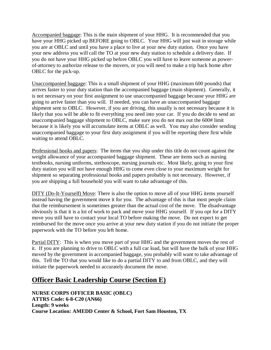Accompanied baggage: This is the main shipment of your HHG. It is recommended that you have your HHG picked up BEFORE going to OBLC. Your HHG will just wait in storage while you are at OBLC and until you have a place to live at your new duty station. Once you have your new address you will call the TO at your new duty station to schedule a delivery date. If you do not have your HHG picked up before OBLC you will have to leave someone as powerof-attorney to authorize release to the movers, or you will need to make a trip back home after OBLC for the pick-up.

Unaccompanied baggage: This is a small shipment of your HHG (maximum 600 pounds) that arrives faster to your duty station than the accompanied baggage (main shipment). Generally, it is not necessary on your first assignment to use unaccompanied baggage because your HHG are going to arrive faster than you will. If needed, you can have an unaccompanied baggage shipment sent to OBLC. However, if you are driving, this usually is not necessary because it is likely that you will be able to fit everything you need into your car. If you do decide to send an unaccompanied baggage shipment to OBLC, make sure you do not max out the 600# limit because it is likely you will accumulate items at OBLC as well. You may also consider sending unaccompanied baggage to your first duty assignment if you will be reporting there first while waiting to attend OBLC.

Professional books and papers: The items that you ship under this title do not count against the weight allowance of your accompanied baggage shipment. These are items such as nursing textbooks, nursing uniforms, stethoscope, nursing journals etc. Most likely, going to your first duty station you will not have enough HHG to come even close to your maximum weight for shipment so separating professional books and papers probably is not necessary. However, if you are shipping a full household you will want to take advantage of this.

DITY (Do-It-Yourself) Move: There is also the option to move all of your HHG items yourself instead having the government move it for you. The advantage of this is that most people claim that the reimbursement is sometimes greater than the actual cost of the move. The disadvantage obviously is that it is a lot of work to pack and move your HHG yourself. If you opt for a DITY move you still have to contact your local TO before making the move. Do not expect to get reimbursed for the move once you arrive at your new duty station if you do not initiate the proper paperwork with the TO before you left home.

Partial DITY: This is when you move part of your HHG and the government moves the rest of it. If you are planning to drive to OBLC with a full car load, but will have the bulk of your HHG moved by the government in accompanied baggage, you probably will want to take advantage of this. Tell the TO that you would like to do a partial DITY to and from OBLC, and they will initiate the paperwork needed to accurately document the move.

## **Officer Basic Leadership Course (Section E)**

**NURSE CORPS OFFICER BASIC (OBLC) ATTRS Code: 6-8-C20 (AN66) Length: 9 weeks Course Location: AMEDD Center & School, Fort Sam Houston, TX**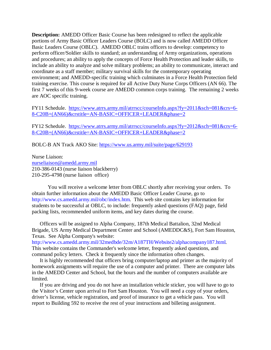**Description:** AMEDD Officer Basic Course has been redesigned to reflect the applicable portions of Army Basic Officer Leaders Course (BOLC) and is now called AMEDD Officer Basic Leaders Course (OBLC). AMEDD OBLC trains officers to develop: competency to perform officer/Soldier skills to standard; an understanding of Army organizations, operations and procedures; an ability to apply the concepts of Force Health Protection and leader skills, to include an ability to analyze and solve military problems; an ability to communicate, interact and coordinate as a staff member; military survival skills for the contemporary operating environment; and AMEDD-specific training which culminates in a Force Health Protection field training exercise. This course is required for all Active Duty Nurse Corps Officers (AN 66). The first 7 weeks of this 9-week course are AMEDD common corps training. The remaining 2 weeks are AOC specific training.

FY11 Schedule. [https://www.atrrs.army.mil/atrrscc/courseInfo.aspx?fy=2011&sch=081&crs=6-](https://www.atrrs.army.mil/atrrscc/courseInfo.aspx?fy=2011&sch=081&crs=6-8-C20B+(AN66)&crstitle=AN-BASIC+OFFICER+LEADER&phase=2) [8-C20B+\(AN66\)&crstitle=AN-BASIC+OFFICER+LEADER&phase=2](https://www.atrrs.army.mil/atrrscc/courseInfo.aspx?fy=2011&sch=081&crs=6-8-C20B+(AN66)&crstitle=AN-BASIC+OFFICER+LEADER&phase=2)

FY12 Schedule. [https://www.atrrs.army.mil/atrrscc/courseInfo.aspx?fy=2012&sch=081&crs=6-](https://www.atrrs.army.mil/atrrscc/courseInfo.aspx?fy=2012&sch=081&crs=6-8-C20B+(AN66)&crstitle=AN-BASIC+OFFICER+LEADER&phase=2) [8-C20B+\(AN66\)&crstitle=AN-BASIC+OFFICER+LEADER&phase=2](https://www.atrrs.army.mil/atrrscc/courseInfo.aspx?fy=2012&sch=081&crs=6-8-C20B+(AN66)&crstitle=AN-BASIC+OFFICER+LEADER&phase=2)

BOLC-B AN Track AKO Site:<https://www.us.army.mil/suite/page/629193>

Nurse Liaison: [nurseliaison@amedd.army.mil](mailto:nurseliaison@amedd.army.mil) 210-386-0143 (nurse liaison blackberry) 210-295-4798 (nurse liaison office)

You will receive a welcome letter from OBLC shortly after receiving your orders. To obtain further information about the AMEDD Basic Officer Leader Course, go to http://www.cs.amedd.army.mil/obc/index.htm. This web site contains key information for students to be successful at OBLC, to include: frequently asked questions (FAQ) page, field packing lists, recommended uniform items, and key dates during the course.

Officers will be assigned to Alpha Company, 187th Medical Battalion, 32nd Medical Brigade, US Army Medical Department Center and School (AMEDDC&S), Fort Sam Houston, Texas. See Alpha Company's website:

http://www.cs.amedd.army.mil/32medbde/32m/A187TH/Website2/alphacompany187.html. This website contains the Commander's welcome letter, frequently asked questions, and command policy letters. Check it frequently since the information often changes.

It is highly recommended that officers bring computer/laptop and printer as the majority of homework assignments will require the use of a computer and printer. There are computer labs in the AMEDD Center and School, but the hours and the number of computers available are limited.

If you are driving and you do not have an installation vehicle sticker, you will have to go to the Visitor's Center upon arrival to Fort Sam Houston. You will need a copy of your orders, driver's license, vehicle registration, and proof of insurance to get a vehicle pass. You will report to Building 592 to receive the rest of your instructions and billeting assignment.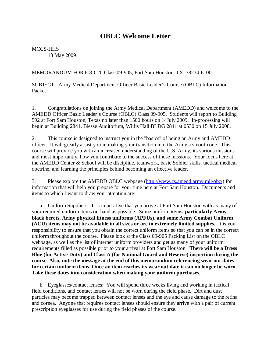## **OBLC Welcome Letter**

MCCS-HHS 18 May 2009

MEMORANDUM FOR 6-8-C20 Class 09-905, Fort Sam Houston, TX 78234-6100

SUBJECT: Army Medical Department Officer Basic Leader's Course (OBLC) Information Packet

1. Congratulations on joining the Army Medical Department (AMEDD) and welcome to the AMEDD Officer Basic Leader's Course (OBLC) Class 09-905. Students will report to Building 592 at Fort Sam Houston, Texas no later than 1500 hours on 14July 2009. In-processing will begin at Building 2841, Blesse Auditorium, Willis Hall BLDG 2841 at 0530 on 15 July 2008.

2. This course is designed to instruct you in the "basics" of being an Army and AMEDD officer. It will greatly assist you in making your transition into the Army a smooth one. This course will provide you with an increased understanding of the U.S. Army, its various missions and most importantly, how you contribute to the success of those missions. Your focus here at the AMEDD Center & School will be discipline, teamwork, basic Soldier skills, tactical medical doctrine, and learning the principles behind becoming an effective leader.

3. Please explore the AMEDD OBLC webpage [\(http://www.cs.amedd.army.mil/obc/\)](http://www.cs.amedd.army.mil/obc/) for information that will help you prepare for your time here at Fort Sam Houston. Documents and items to which I want to draw your attention are:

a. Uniform Suppliers: It is imperative that you arrive at Fort Sam Houston with as many of your required uniform items on-hand as possible. Some uniform items**, particularly Army black berets, Army physical fitness uniforms (APFUs), and some Army Combat Uniform (ACU) items may not be available in all sizes or are in extremely limited supplies.** It is your responsibility to ensure that you obtain the correct uniform items so that you can be in the correct uniform throughout the course. Please look at the Class 09-905 Packing List on the OBLC webpage, as well as the list of internet uniform providers and get as many of your uniform requirements filled as possible prior to your arrival at Fort Sam Houston. **There will be a Dress Blue (for Active Duty) and Class A (for National Guard and Reserve) inspection during the course. Also, note the message at the end of this memorandum referencing wear out dates for certain uniform items. Once an item reaches its wear out date it can no longer be worn. Take these dates into consideration when making your uniform purchases.**

b. Eyeglasses/contact lenses: You will spend three weeks living and working in tactical field conditions, and contact lenses will not be worn during the field phase. Dirt and dust particles may become trapped between contact lenses and the eye and cause damage to the retina and cornea. Anyone that requires contact lenses should ensure they arrive with a pair of current prescription eyeglasses for use during the field phases of the course.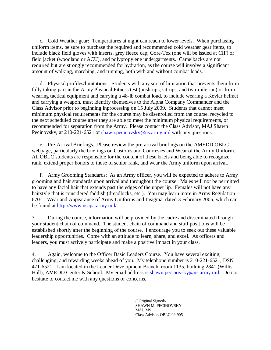c. Cold Weather gear: Temperatures at night can reach to lower levels. When purchasing uniform items, be sure to purchase the required and recommended cold weather gear items, to include black field gloves with inserts, grey fleece cap, Gore-Tex (one will be issued at CIF) or field jacket (woodland or ACU), and polypropylene undergarments. Camelbacks are not required but are strongly recommended for hydration, as the course will involve a significant amount of walking, marching, and running, both with and without combat loads.

d. Physical profiles/limitations: Students with any sort of limitation that prevents them from fully taking part in the Army Physical Fitness test (push-ups, sit-ups, and two-mile run) or from wearing tactical equipment and carrying a 48-lb combat load, to include wearing a Kevlar helmet and carrying a weapon, must identify themselves to the Alpha Company Commander and the Class Advisor prior to beginning inprocessing on 15 July 2009. Students that cannot meet minimum physical requirements for the course may be disenrolled from the course, recycled to the next scheduled course after they are able to meet the minimum physical requirements, or recommended for separation from the Army. Please contact the Class Advisor, MAJ Shawn Pecinovsky, at 210-221-6521 or [shawn.pecinovsky@us.army.mil](mailto:shawn.pecinovskyr@us.army.mil) with any questions.

e. Pre-Arrival Briefings. Please review the pre-arrival briefings on the AMEDD OBLC webpage, particularly the briefings on Customs and Courtesies and Wear of the Army Uniform. All OBLC students are responsible for the content of these briefs and being able to recognize rank, extend proper honors to those of senior rank, and wear the Army uniform upon arrival.

f. Army Grooming Standards: As an Army officer, you will be expected to adhere to Army grooming and hair standards upon arrival and throughout the course. Males will not be permitted to have any facial hair that extends past the edges of the upper lip. Females will not have any hairstyle that is considered faddish (dreadlocks, etc.). You may learn more in Army Regulation 670-1, Wear and Appearance of Army Uniforms and Insignia, dated 3 February 2005, which can be found at<http://www.usapa.army.mil/>

3. During the course, information will be provided by the cadre and disseminated through your student chain of command. The student chain of command and staff positions will be established shortly after the beginning of the course. I encourage you to seek out these valuable leadership opportunities. Come with an attitude to learn, share, and excel. As officers and leaders, you must actively participate and make a positive impact in your class.

4. Again, welcome to the Officer Basic Leaders Course. You have several exciting, challenging, and rewarding weeks ahead of you. My telephone number is 210-221-6521, DSN 471-6521. I am located in the Leader Development Branch, room 1135, building 2841 (Willis Hall), AMEDD Center & School. My email address is [shawn.pecinovsky@us.army.mil.](mailto:shawn.pecinovskyr@us.army.mil) Do not hesitate to contact me with any questions or concerns.

> // Original Signed// SHAWN M. PECINOVSKY MAJ, MS Class Advisor, OBLC 09-905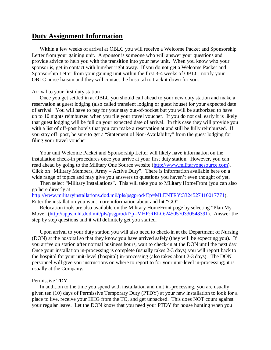## **Duty Assignment Information**

Within a few weeks of arrival at OBLC you will receive a Welcome Packet and Sponsorship Letter from your gaining unit. A sponsor is someone who will answer your questions and provide advice to help you with the transition into your new unit. When you know who your sponsor is, get in contact with him/her right away. If you do not get a Welcome Packet and Sponsorship Letter from your gaining unit within the first 3-4 weeks of OBLC, notify your OBLC nurse liaison and they will contact the hospital to track it down for you.

#### Arrival to your first duty station

Once you get settled in at OBLC you should call ahead to your new duty station and make a reservation at guest lodging (also called transient lodging or guest house) for your expected date of arrival. You will have to pay for your stay out-of-pocket but you will be authorized to have up to 10 nights reimbursed when you file your travel voucher. If you do not call early it is likely that guest lodging will be full on your expected date of arrival. In this case they will provide you with a list of off-post hotels that you can make a reservation at and still be fully reimbursed. If you stay off–post, be sure to get a "Statement of Non-Availability" from the guest lodging for filing your travel voucher.

Your unit Welcome Packet and Sponsorship Letter will likely have information on the installation check-in procedures once you arrive at your first duty station. However, you can read ahead by going to the Military One Source website [\(http://www.militaryonesource.com\)](http://www.militaryonesource.com/). Click on "Military Members, Army – Active Duty". There is information available here on a wide range of topics and may give you answers to questions you haven't even thought of yet.

Then select "Military Installations". This will take you to Military HomeFront (you can also go here directly at

[http://www.militaryinstallations.dod.mil/pls/psgprod/f?p=MI:ENTRY:3324527410017771\)](http://www.militaryinstallations.dod.mil/pls/psgprod/f?p=MI:ENTRY:3324527410017771). Enter the installation you want more information about and hit "GO".

Relocation tools are also available on the Military HomeFront page by selecting "Plan My Move" [\(http://apps.mhf.dod.mil/pls/psgprod/f?p=MHF:RELO:2450570330548391\)](http://apps.mhf.dod.mil/pls/psgprod/f?p=MHF:RELO:2450570330548391). Answer the step by step questions and it will definitely get you started.

Upon arrival to your duty station you will also need to check-in at the Department of Nursing (DON) at the hospital so that they know you have arrived safely (they will be expecting you). If you arrive on station after normal business hours, wait to check-in at the DON until the next day. Once your installation in-processing is complete (usually takes 2-3 days) you will report back to the hospital for your unit-level (hospital) in-processing (also takes about 2-3 days). The DON personnel will give you instructions on where to report to for your unit-level in-processing; it is usually at the Company.

#### Permissive TDY

In addition to the time you spend with installation and unit in-processing, you are usually given ten (10) days of Permissive Temporary Duty (PTDY) at your new installation to look for a place to live, receive your HHG from the TO, and get unpacked. This does NOT count against your regular leave. Let the DON know that you need your PTDY for house hunting when you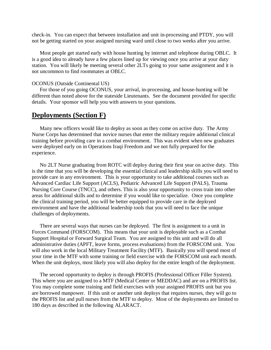check-in. You can expect that between installation and unit in-processing and PTDY, you will not be getting started on your assigned nursing ward until close to two weeks after you arrive.

Most people get started early with house hunting by internet and telephone during OBLC. It is a good idea to already have a few places lined up for viewing once you arrive at your duty station. You will likely be meeting several other 2LTs going to your same assignment and it is not uncommon to find roommates at OBLC.

#### OCONUS (Outside Continental US)

For those of you going OCONUS, your arrival, in-processing, and house-hunting will be different than noted above for the stateside Lieutenants. See the document provided for specific details. Your sponsor will help you with answers to your questions.

## **Deployments (Section F)**

Many new officers would like to deploy as soon as they come on active duty. The Army Nurse Corps has determined that novice nurses that enter the military require additional clinical training before providing care in a combat environment. This was evident when new graduates were deployed early on in Operations Iraqi Freedom and we not fully prepared for the experience.

No 2LT Nurse graduating from ROTC will deploy during their first year on active duty. This is the time that you will be developing the essential clinical and leadership skills you will need to provide care in any environment. This is your opportunity to take additional courses such as Advanced Cardiac Life Support (ACLS), Pediatric Advanced Life Support (PALS), Trauma Nursing Core Course (TNCC), and others. This is also your opportunity to cross train into other areas for additional skills and to determine if you would like to specialize. Once you complete the clinical training period, you will be better equipped to provide care in the deployed environment and have the additional leadership tools that you will need to face the unique challenges of deployments.

There are several ways that nurses can be deployed. The first is assignment to a unit in Forces Command (FORSCOM). This means that your unit is deployable such as a Combat Support Hospital or Forward Surgical Team. You are assigned to this unit and will do all administrative duties (APFT, leave forms, process evaluations) from the FORSCOM unit. You will also work in the local Military Treatment Facility (MTF). Basically you will spend most of your time in the MTF with some training or field exercise with the FORSCOM unit each month. When the unit deploys, most likely you will also deploy for the entire length of the deployment.

The second opportunity to deploy is through PROFIS (Professional Officer Filler System). This where you are assigned to a MTF (Medical Center or MEDDAC) and are on a PROFIS list. You may complete some training and field exercises with your assigned PROFIS unit but you are borrowed manpower. If this unit or another unit deploys that requires nurses, they will go to the PROFIS list and pull nurses from the MTF to deploy. Most of the deployments are limited to 180 days as described in the following ALARACT.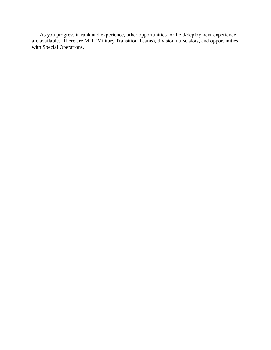As you progress in rank and experience, other opportunities for field/deployment experience are available. There are MIT (Military Transition Teams), division nurse slots, and opportunities with Special Operations.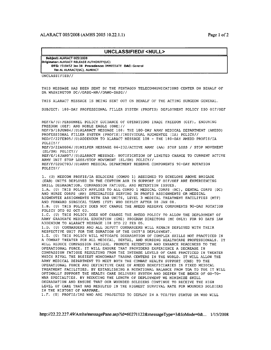#### ALARACT 005/2008 (AMHS 2005 10.22.1.1)

#### UNCLASSIFIED// <NULL>

Subject: ALARACT 005/2008 Originator: ALARACT RELEASE AUTHORITY(UC) DTG: 151845Z Jan 08 Precedence: IMMEDIATE DAC: General To: AL ALARACT(UC), ALARACT

UNCLASSIFIED//

THIS MESSAGE HAS BEEN SENT BY THE PENTAGON TELECOMMUNICATIONS CENTER ON BEHALF OF DA WASHINGTON DC//DASG-HR//DAMO-DASG//

THIS ALARACT MESSAGE IS BEING SENT OUT ON BEHALF OF THE ACTING SURGEON GENERAL.

SUBJECT: 180-DAY PROFESSIONAL FILLER SYSTEM (PROFIS) DEPLOYMENT POLICY ISO OIF/OEF

REF/A/(U) PERSONNEL POLICY GUIDANCE OF OPERATIONS IRAQI FREEDOM (OIF), ENDURING FREEDOM (OEF) AND NOBLE EAGLE (ONE)// REF/B/18JUN04/(U)ALARACT MESSAGE 108: THE 180-DAY ARMY MEDICAL DEPARTMENT (AMEDD) PROFESSIONAL FILLER SYSTEM (PROFIS)/INDIVIDUAL AUGMENTEE (IA) POLICY// RED/C/22FEB05/(U)ADDENDUM TO ALARACT MESSAGE 108 - THE 180-DAY AMEDD PROFIS/IA POLICY// REF/D/22AUG06/(U)MILPER MESSAGE 06-232/ACTIVE ARMY (AA) STOP LOSS / STOP MOVEMENT (SL/SM) POLICY// REF/E/16JAN07/(U)ALARACT MESSAGE: NOTIFICATION OF LIMITED CHANGE TO CURRENT ACTIVE ARMY UNIT STOP LOSS/STOP MOVEMENT (SL/SM) POLICY// REF/F/02OCT03/(U)ARMY MEDICAL DEPARTMENT RESERVE COMPONENTS 90-DAY ROTATION POLICY//

1. (U) MEDCOM PROFIS/IA SOLDIERS (COMPO 1) ASSIGNED TO ECHELONS ABOVE BRIGADE (EAB) UNITS DEPLOYED IN THE CENTCOM AOR IN SUPPORT OF OIF/OEF ARE EXPERIENCING SKILL DEGRADATION, COMPASSION FATIGUE, AND RETENTION ISSUES. 1.A. (U) THIS POLICY APPLIES TO ALL COMPO 1 MEDICAL CORPS (MC), DENTAL CORPS (DC) AND NURSE CORPS (AN) SPECIALTIES SERVING IN PROFIS ASSIGNMENTS OR MEDICAL AUGMENTEE ASSIGNMENTS WITH EAB UNITS, LEVEL 3 MEDICAL TREATMENT FACILITIES (MTF) AND FORWARD SURGICAL TEAMS (FST) WHO DEPLOY AFTER 08 JAN 08. 1.B. (U) THIS POLICY DOES NOT CHANGE THE AMEDD RESERVE COMPONENTS 90-DAY ROTATION POLICY DTD 02 OCT 03. 1.C. (U) THIS POLICY DOES NOT CHANGE THE AMEDD POLICY TO ALLOW THE DEPLOYMENT OF ARMY GRADUATE MEDICAL EDUCATION (GME) PROGRAM DIRECTORS (MC ONLY) FOR 90 DAYS IAW ADDENDUM TO ALARACT MESSAGE 108 DTD 22 FEB 05. 1.D. (U) COMMANDERS AND ALL DEPUTY COMMANDERS WILL REMAIN DEPLOYED WITH THEIR RESPECTIVE UNIT FOR THE DURATION OF THE UNIT'S DEPLOYMENT. 1.E. (U) THIS POLICY WILL MITIGATE DEGRADATION OF COMPLEX SKILLS NOT PRACTICED IN A COMBAT THEATER FOR ALL MEDICAL, DENTAL, AND NURSING HEALTHCARE PROFESSIONALS. IT WILL REDUCE COMPASSION FATIGUE, PROMOTE RETENTION AND ENHANCE READINESS TO THE OPERATIONAL FORCE. IT WILL ENSURE THAT PROVIDERS EXPERIENCE A DECREASE IN COMPASSION FATIGUE RESULTING FROM THE INTENSE LEVELS OF CARE PRACTICED IN THEATER WHICH RIVAL THE BUSIEST NONCOMBAT TRAUMA CENTERS IN THE WORLD. IT WILL ALLOW THE ARMY MEDICAL DEPARTMENT TO MEET BOTH THE COMBAT HEALTH SUPPORT (CHS) TO THE OPERATIONAL FORCE AND DEFINITIVE CARE OF AMEDD BENEFICIARIES IN FIXED MEDICAL TREATMENT FACILITIES. BY ESTABLISHING A ROTATIONAL BALANCE FROM TDA TO TOE IT WILL OPTIMALLY SUPPORT THE HEALTH CARE DELIVERY SYSTEM AND DEEPEN THE BENCH OF GO-TO-WAR SPECIALTIES. BY REDUCING THE LENGTH OF DEPLOYMENT WE MINIMIZE SKILL DEGRADATION AND ENSURE THAT OUR WOUNDED SOLDIERS CONTINUE TO RECEIVE THE HIGH LEVEL OF CARE THAT HAS RESULTED IN THE HIGHEST SURVIVAL RATE FOR WOUNDED SOLDIERS IN THE HISTORY OF WARFARE.

1.F. (U) PROFIS/IAS WHO ARE PROJECTED TO DEPLOY IN A TCS/TDY STATUS OR WHO WILL

http://22.22.227.49/Amhs/messagePane.asp?id=60271122&messageType=3&IoMode=0&... 1/15/2008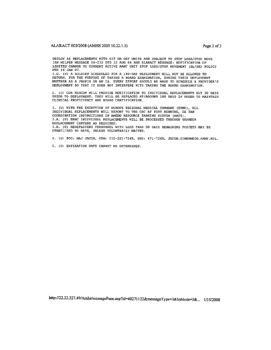DEPLOY AS REPLACEMENTS WITH OIF OR OEF UNITS ARE SUBJECT TO STOP LOSS/STOP MOVE IAW MILPER MESSAGE 06-232 DTD 22 AUG 06 AND ALARACT MESSAGE: NOTIFICATION OF LIMITED CHANGE TO CURRENT ACTIVE ARMY UNIT STOP LOSS/STOP MOVEMENT (SL/SM) POLICY DTD 16 JAN 07.

1.G. (U) A SOLDIER SCHEDULED FOR A 180-DAY DEPLOYMENT WILL NOT BE ALLOWED TO RETURN, FOR THE PURPOSE OF TAKING A BOARD EXAMINATION, DURING THEIR DEPLOYMENT WHETHER AS A PROFIS OR AN IA. EVERY EFFORT SHOULD BE MADE TO SCHEDULE A PROVIDER'S DEPLOYMENT SO THAT IT DOES NOT INTERFERE WITH TAKING THE BOARD EXAMINATION.

2. (U) CDR MEDCOM WILL PROVIDE NOTIFICATION TO INDIVIDUAL REPLACEMENTS NLT 30 DAYS PRIOR TO DEPLOYMENT. THEY WILL BE REPLACED AT/AROUND 180 DAYS IN ORDER TO MAINTAIN CLINICAL PROFICIENCY AND BOARD CERTIFICATION.

3. (U) WITH THE EXCEPTION OF EUROPE REGIONAL MEDICAL COMMAND (ERMC), ALL INDIVIDUAL REPLACEMENTS WILL REPORT TO THE CRC AT FORT BENNING, GA IAW COORDINATION INSTRUCTIONS IN AMEDD RESOURCE TASKING SYSTEM (ARTS). 3.A. (U) ERMC INDIVIDUAL REPLACEMENTS WILL BE PROCESSED THROUGH USAREUR REPLACEMENT CENTERS AS REQUIRED. 3.B. (U) REDEPLOYING PERSONNEL WITH LESS THAN 90 DAYS REMAINING PCS/ETS MAY BE STABILIZED 90 DAYS, UNLESS VOLUNTARILY WAIVED.

4. (U) POC: MAJ JACOB, COM: 210-221-7265, DSN: 471-7265, JACOB.GIN@AMEDD.ARMY.MIL.

5. (U) EXPIRATION DATE CANNOT BE DETERMINED.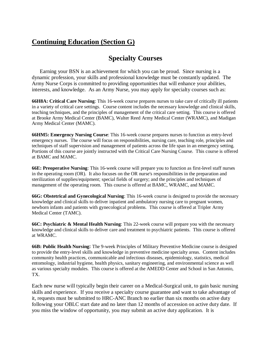## **Continuing Education (Section G)**

## **Specialty Courses**

Earning your BSN is an achievement for which you can be proud. Since nursing is a dynamic profession, your skills and professional knowledge must be constantly updated. The Army Nurse Corps is committed to providing opportunities that will enhance your abilities, interests, and knowledge. As an Army Nurse, you may apply for specialty courses such as:

**66H8A: Critical Care Nursing**: This 16-week course prepares nurses to take care of critically ill patients in a variety of critical care settings. Course content includes the necessary knowledge and clinical skills, teaching techniques, and the principles of management of the critical care setting. This course is offered at Brooke Army Medical Center (BAMC), Walter Reed Army Medical Center (WRAMC), and Madigan Army Medical Center (MAMC).

**66HM5: Emergency Nursing Course**: This 16-week course prepares nurses to function as entry-level emergency nurses. The course will focus on responsibilities, nursing care, teaching role, principles and techniques of staff supervision and management of patients across the life span in an emergency setting. Portions of this course are jointly instructed with the Critical Care Nursing Course. This course is offered at BAMC and MAMC.

**66E: Preoperative Nursing**: This 16-week course will prepare you to function as first-level staff nurses in the operating room (OR). It also focuses on the OR nurse's responsibilities in the preparation and sterilization of supplies/equipment; special fields of surgery; and the principles and techniques of management of the operating room. This course is offered at BAMC, WRAMC, and MAMC.

**66G: Obstetrical and Gynecological Nursing**: This 16-week course is designed to provide the necessary knowledge and clinical skills to deliver inpatient and ambulatory nursing care to pregnant women, newborn infants and patients with gynecological problems. This course is offered at Tripler Army Medical Center (TAMC).

**66C: Psychiatric & Mental Health Nursing**: This 22-week course will prepare you with the necessary knowledge and clinical skills to deliver care and treatment to psychiatric patients. This course is offered at WRAMC.

**66B: Public Health Nursing:** The 9-week Principles of Military Preventive Medicine course is designed to provide the entry-level skills and knowledge in preventive medicine specialty areas. Content includes community health practices, communicable and infectious diseases, epidemiology, statistics, medical entomology, industrial hygiene, health physics, sanitary engineering, and environmental science as well as various specialty modules. This course is offered at the AMEDD Center and School in San Antonio, TX.

Each new nurse will typically begin their career on a Medical-Surgical unit, to gain basic nursing skills and experience. If you receive a specialty course guarantee and want to take advantage of it, requests must be submitted to HRC-ANC Branch no earlier than six months on active duty following your OBLC start date and no later than 12 months of accession on active duty date. If you miss the window of opportunity, you may submit an active duty application. It is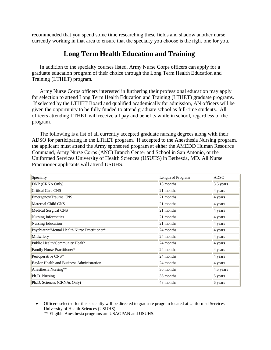recommended that you spend some time researching these fields and shadow another nurse currently working in that area to ensure that the specialty you choose is the right one for you.

## **Long Term Health Education and Training**

In addition to the specialty courses listed, Army Nurse Corps officers can apply for a graduate education program of their choice through the Long Term Health Education and Training (LTHET) program.

Army Nurse Corps officers interested in furthering their professional education may apply for selection to attend Long Term Health Education and Training (LTHET) graduate programs. If selected by the LTHET Board and qualified academically for admission, AN officers will be given the opportunity to be fully funded to attend graduate school as full-time students. All officers attending LTHET will receive all pay and benefits while in school, regardless of the program.

The following is a list of all currently accepted graduate nursing degrees along with their ADSO for participating in the LTHET program. If accepted to the Anesthesia Nursing program, the applicant must attend the Army sponsored program at either the AMEDD Human Resource Command, Army Nurse Corps (ANC) Branch Center and School in San Antonio, or the Uniformed Services University of Health Sciences (USUHS) in Bethesda, MD. All Nurse Practitioner applicants will attend USUHS.

| Specialty                                     | Length of Program | <b>ADSO</b>           |
|-----------------------------------------------|-------------------|-----------------------|
| DNP (CRNA Only)                               | 18 months         | $3.5$ years           |
| <b>Critical Care CNS</b>                      | 21 months         | 4 years               |
| Emergency/Trauma CNS                          | 21 months         | $ 4 \text{ years} $   |
| Maternal Child CNS                            | 21 months         | 4 years               |
| Medical Surgical CNS                          | 21 months         | $4$ years             |
| Nursing Informatics                           | 21 months         | $ 4 \text{ years} $   |
| Nursing Education                             | 21 months         | 4 years               |
| Psychiatric/Mental Health Nurse Practitioner* | 24 months         | $ 4 \text{ years} $   |
| Midwifery                                     | 24 months         | 4 years               |
| Public Health/Community Health                | 24 months         | $4$ years             |
| Family Nurse Practitioner*                    | 24 months         | 4 years               |
| Perioperative CNS*                            | 24 months         | $4$ years             |
| Baylor Health and Business Administration     | 24 months         | 4 years               |
| Anesthesia Nursing**                          | 30 months         | $ 4.5 \text{ years} $ |
| Ph.D. Nursing                                 | 36 months         | $5$ years             |
| Ph.D. Sciences (CRNAs Only)                   | 48 months         | $6$ years             |

• Officers selected for this specialty will be directed to graduate program located at Uniformed Services University of Health Sciences (USUHS).

\*\* Eligible Anesthesia programs are USAGPAN and USUHS.